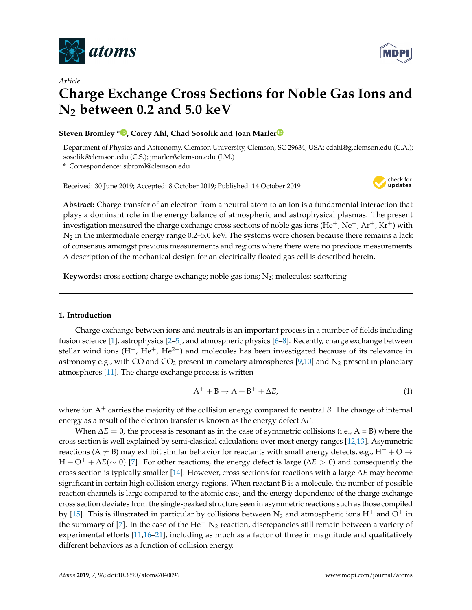

*Article*



# **Charge Exchange Cross Sections for Noble Gas Ions and N2 between 0.2 and 5.0 keV**

# **Steven Bromley \*<sup>1</sup>[,](https://orcid.org/0000-0003-2110-8152) Co[r](https://orcid.org/0000-0002-1626-5615)ey Ahl, Chad Sosolik and Joan Marler<sup><sup>1</sup></sup>**

Department of Physics and Astronomy, Clemson University, Clemson, SC 29634, USA; cdahl@g.clemson.edu (C.A.); sosolik@clemson.edu (C.S.); jmarler@clemson.edu (J.M.)

**\*** Correspondence: sjbroml@clemson.edu

Received: 30 June 2019; Accepted: 8 October 2019; Published: 14 October 2019



**Abstract:** Charge transfer of an electron from a neutral atom to an ion is a fundamental interaction that plays a dominant role in the energy balance of atmospheric and astrophysical plasmas. The present investigation measured the charge exchange cross sections of noble gas ions (He<sup>+</sup>, Ne<sup>+</sup>, Ar<sup>+</sup>, Kr<sup>+</sup>) with  $N_2$  in the intermediate energy range 0.2–5.0 keV. The systems were chosen because there remains a lack of consensus amongst previous measurements and regions where there were no previous measurements. A description of the mechanical design for an electrically floated gas cell is described herein.

**Keywords:** cross section; charge exchange; noble gas ions;  $N_2$ ; molecules; scattering

# **1. Introduction**

Charge exchange between ions and neutrals is an important process in a number of fields including fusion science [\[1\]](#page-6-0), astrophysics [\[2–](#page-6-1)[5\]](#page-7-0), and atmospheric physics [\[6–](#page-7-1)[8\]](#page-7-2). Recently, charge exchange between stellar wind ions  $(H^+, He^+, He^{2+})$  and molecules has been investigated because of its relevance in astronomy e.g., with CO and CO<sub>2</sub> present in cometary atmospheres [\[9,](#page-7-3)[10\]](#page-7-4) and N<sub>2</sub> present in planetary atmospheres [\[11\]](#page-7-5). The charge exchange process is written

$$
A^+ + B \to A + B^+ + \Delta E, \tag{1}
$$

where ion  $A^+$  carries the majority of the collision energy compared to neutral *B*. The change of internal energy as a result of the electron transfer is known as the energy defect ∆*E*.

When  $\Delta E = 0$ , the process is resonant as in the case of symmetric collisions (i.e.,  $A = B$ ) where the cross section is well explained by semi-classical calculations over most energy ranges [\[12,](#page-7-6)[13\]](#page-7-7). Asymmetric reactions (A  $\neq$  B) may exhibit similar behavior for reactants with small energy defects, e.g., H<sup>+</sup> + O  $\rightarrow$ H + O <sup>+</sup> + ∆*E*(∼ 0) [\[7\]](#page-7-8). For other reactions, the energy defect is large (∆*E* > 0) and consequently the cross section is typically smaller [\[14\]](#page-7-9). However, cross sections for reactions with a large ∆*E* may become significant in certain high collision energy regions. When reactant B is a molecule, the number of possible reaction channels is large compared to the atomic case, and the energy dependence of the charge exchange cross section deviates from the single-peaked structure seen in asymmetric reactions such as those compiled by [\[15\]](#page-7-10). This is illustrated in particular by collisions between  $N_2$  and atmospheric ions H<sup>+</sup> and O<sup>+</sup> in the summary of [\[7\]](#page-7-8). In the case of the  $He^+$ -N<sub>2</sub> reaction, discrepancies still remain between a variety of experimental efforts [\[11](#page-7-5)[,16](#page-7-11)[–21\]](#page-7-12), including as much as a factor of three in magnitude and qualitatively different behaviors as a function of collision energy.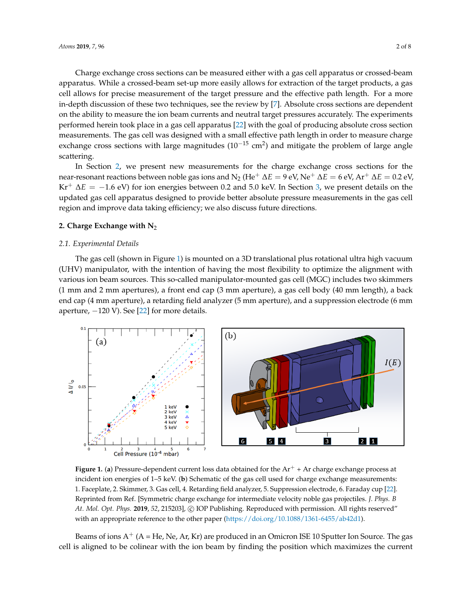Charge exchange cross sections can be measured either with a gas cell apparatus or crossed-beam apparatus. While a crossed-beam set-up more easily allows for extraction of the target products, a gas cell allows for precise measurement of the target pressure and the effective path length. For a more in-depth discussion of these two techniques, see the review by [\[7\]](#page-7-8). Absolute cross sections are dependent on the ability to measure the ion beam currents and neutral target pressures accurately. The experiments performed herein took place in a gas cell apparatus [\[22\]](#page-7-13) with the goal of producing absolute cross section measurements. The gas cell was designed with a small effective path length in order to measure charge exchange cross sections with large magnitudes (10<sup>-15</sup> cm<sup>2</sup>) and mitigate the problem of large angle scattering.

In Section [2,](#page-1-0) we present new measurements for the charge exchange cross sections for the near-resonant reactions between noble gas ions and N<sub>2</sub> (He<sup>+</sup> Δ*E* = 9 eV, Ne<sup>+</sup> Δ*E* = 6 eV, Ar<sup>+</sup> Δ*E* = 0.2 eV,  $Kr^{+}$   $\Delta E = -1.6$  eV) for ion energies between 0.2 and 5.0 keV. In Section [3,](#page-4-0) we present details on the updated gas cell apparatus designed to provide better absolute pressure measurements in the gas cell region and improve data taking efficiency; we also discuss future directions.

#### <span id="page-1-0"></span>**2. Charge Exchange with N**<sup>2</sup>

#### *2.1. Experimental Details*

The gas cell (shown in Figure [1\)](#page-1-1) is mounted on a 3D translational plus rotational ultra high vacuum (UHV) manipulator, with the intention of having the most flexibility to optimize the alignment with various ion beam sources. This so-called manipulator-mounted gas cell (MGC) includes two skimmers (1 mm and 2 mm apertures), a front end cap (3 mm aperture), a gas cell body (40 mm length), a back end cap (4 mm aperture), a retarding field analyzer (5 mm aperture), and a suppression electrode (6 mm aperture,  $-120$  V). See [\[22\]](#page-7-13) for more details.

<span id="page-1-1"></span>

**Figure 1. (a)** Pressure-dependent current loss data obtained for the  $Ar^+ + Ar$  charge exchange process at incident ion energies of 1–5 keV. (**b**) Schematic of the gas cell used for charge exchange measurements: 1. Faceplate, 2. Skimmer, 3. Gas cell, 4. Retarding field analyzer, 5. Suppression electrode, 6. Faraday cup [\[22\]](#page-7-13). Reprinted from Ref. [Symmetric charge exchange for intermediate velocity noble gas projectiles. *J. Phys. B At. Mol. Opt. Phys.* **2019**, *52*, 215203], c IOP Publishing. Reproduced with permission. All rights reserved" with an appropriate reference to the other paper [\(https://doi.org/10.1088/1361-6455/ab42d1\)](https://doi.org/10.1088/1361-6455/ab42d1).

Beams of ions  $A^+(A)$  = He, Ne, Ar, Kr) are produced in an Omicron ISE 10 Sputter Ion Source. The gas cell is aligned to be colinear with the ion beam by finding the position which maximizes the current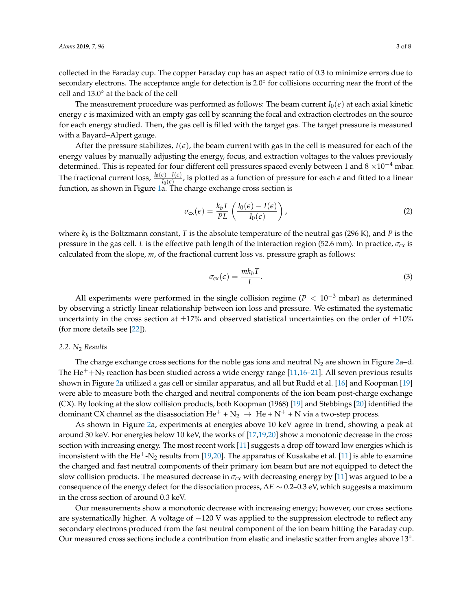collected in the Faraday cup. The copper Faraday cup has an aspect ratio of 0.3 to minimize errors due to secondary electrons. The acceptance angle for detection is 2.0<sup>°</sup> for collisions occurring near the front of the cell and 13.0◦ at the back of the cell

The measurement procedure was performed as follows: The beam current  $I_0(\epsilon)$  at each axial kinetic energy  $\epsilon$  is maximized with an empty gas cell by scanning the focal and extraction electrodes on the source for each energy studied. Then, the gas cell is filled with the target gas. The target pressure is measured with a Bayard–Alpert gauge.

After the pressure stabilizes,  $I(\epsilon)$ , the beam current with gas in the cell is measured for each of the energy values by manually adjusting the energy, focus, and extraction voltages to the values previously determined. This is repeated for four different cell pressures spaced evenly between 1 and  $8 \times 10^{-4}$  mbar. The fractional current loss,  $\frac{I_0(\epsilon)-I(\epsilon)}{I_0(\epsilon)}$ , is plotted as a function of pressure for each *ε* and fitted to a linear function, as shown in Figure [1a](#page-1-1). The charge exchange cross section is

$$
\sigma_{\rm cx}(\epsilon) = \frac{k_b T}{PL} \left( \frac{I_0(\epsilon) - I(\epsilon)}{I_0(\epsilon)} \right),\tag{2}
$$

where *k<sup>b</sup>* is the Boltzmann constant, *T* is the absolute temperature of the neutral gas (296 K), and *P* is the pressure in the gas cell. *L* is the effective path length of the interaction region (52.6 mm). In practice, *σcx* is calculated from the slope, *m*, of the fractional current loss vs. pressure graph as follows:

<span id="page-2-0"></span>
$$
\sigma_{\rm cx}(\epsilon) = \frac{mk_b T}{L}.\tag{3}
$$

All experiments were performed in the single collision regime ( $P < 10^{-3}$  mbar) as determined by observing a strictly linear relationship between ion loss and pressure. We estimated the systematic uncertainty in the cross section at  $\pm 17\%$  and observed statistical uncertainties on the order of  $\pm 10\%$ (for more details see [\[22\]](#page-7-13)).

# *2.2. N*<sup>2</sup> *Results*

The charge exchange cross sections for the noble gas ions and neutral  $N_2$  are shown in Figure [2a](#page-3-0)–d. The He<sup>+</sup>+N<sub>2</sub> reaction has been studied across a wide energy range [\[11,](#page-7-5)[16–](#page-7-11)[21\]](#page-7-12). All seven previous results shown in Figure [2a](#page-3-0) utilized a gas cell or similar apparatus, and all but Rudd et al. [\[16\]](#page-7-11) and Koopman [\[19\]](#page-7-14) were able to measure both the charged and neutral components of the ion beam post-charge exchange (CX). By looking at the slow collision products, both Koopman (1968) [\[19\]](#page-7-14) and Stebbings [\[20\]](#page-7-15) identified the dominant CX channel as the disassociation  $He^+ + N_2 \rightarrow He + N^+ + N$  via a two-step process.

As shown in Figure [2a](#page-3-0), experiments at energies above 10 keV agree in trend, showing a peak at around 30 keV. For energies below 10 keV, the works of [\[17](#page-7-16)[,19](#page-7-14)[,20\]](#page-7-15) show a monotonic decrease in the cross section with increasing energy. The most recent work [\[11\]](#page-7-5) suggests a drop off toward low energies which is inconsistent with the He<sup>+</sup>-N<sub>2</sub> results from [\[19](#page-7-14)[,20\]](#page-7-15). The apparatus of Kusakabe et al. [\[11\]](#page-7-5) is able to examine the charged and fast neutral components of their primary ion beam but are not equipped to detect the slow collision products. The measured decrease in  $\sigma_{cx}$  with decreasing energy by [\[11\]](#page-7-5) was argued to be a consequence of the energy defect for the dissociation process, ∆*E* ∼ 0.2–0.3 eV, which suggests a maximum in the cross section of around 0.3 keV.

Our measurements show a monotonic decrease with increasing energy; however, our cross sections are systematically higher. A voltage of −120 V was applied to the suppression electrode to reflect any secondary electrons produced from the fast neutral component of the ion beam hitting the Faraday cup. Our measured cross sections include a contribution from elastic and inelastic scatter from angles above  $13°$ .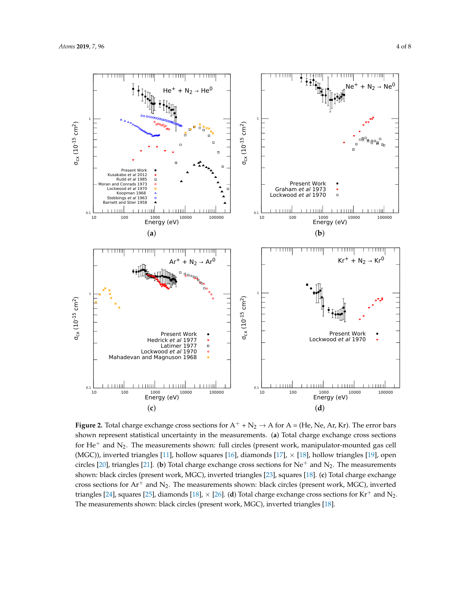<span id="page-3-0"></span>

**Figure 2.** Total charge exchange cross sections for  $A^+$  +  $N_2 \rightarrow A$  for  $A = (He, Ne, Ar, Kr)$ . The error bars shown represent statistical uncertainty in the measurements. (**a**) Total charge exchange cross sections for  $He<sup>+</sup>$  and  $N_2$ . The measurements shown: full circles (present work, manipulator-mounted gas cell (MGC)), inverted triangles [\[11\]](#page-7-5), hollow squares [\[16\]](#page-7-11), diamonds [\[17\]](#page-7-16),  $\times$  [\[18\]](#page-7-17), hollow triangles [\[19\]](#page-7-14), open circles [\[20\]](#page-7-15), triangles [\[21\]](#page-7-12). (**b**) Total charge exchange cross sections for Ne<sup>+</sup> and N<sub>2</sub>. The measurements shown: black circles (present work, MGC), inverted triangles [\[23\]](#page-7-18), squares [\[18\]](#page-7-17). (**c**) Total charge exchange cross sections for  $Ar^+$  and  $N_2$ . The measurements shown: black circles (present work, MGC), inverted triangles [\[24\]](#page-7-19), squares [\[25\]](#page-7-20), diamonds [\[18\]](#page-7-17),  $\times$  [\[26\]](#page-7-21). (**d**) Total charge exchange cross sections for Kr<sup>+</sup> and N<sub>2</sub>. The measurements shown: black circles (present work, MGC), inverted triangles [\[18\]](#page-7-17).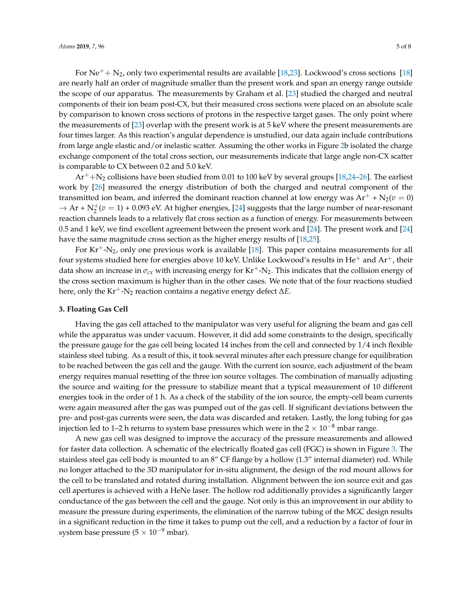For Ne<sup>+</sup> + N<sub>2</sub>, only two experimental results are available [\[18,](#page-7-17)[23\]](#page-7-18). Lockwood's cross sections [\[18\]](#page-7-17) are nearly half an order of magnitude smaller than the present work and span an energy range outside the scope of our apparatus. The measurements by Graham et al. [\[23\]](#page-7-18) studied the charged and neutral components of their ion beam post-CX, but their measured cross sections were placed on an absolute scale by comparison to known cross sections of protons in the respective target gases. The only point where the measurements of [\[23\]](#page-7-18) overlap with the present work is at 5 keV where the present measurements are four times larger. As this reaction's angular dependence is unstudied, our data again include contributions from large angle elastic and/or inelastic scatter. Assuming the other works in Figure [2b](#page-3-0) isolated the charge exchange component of the total cross section, our measurements indicate that large angle non-CX scatter is comparable to CX between 0.2 and 5.0 keV.

 $Ar^+ + N_2$  collisions have been studied from 0.01 to 100 keV by several groups [\[18](#page-7-17)[,24](#page-7-19)-26]. The earliest work by [\[26\]](#page-7-21) measured the energy distribution of both the charged and neutral component of the transmitted ion beam, and inferred the dominant reaction channel at low energy was  $Ar^+ + N_2(v = 0)$  $\rightarrow$  Ar +  $N_2^+(v=1)$  + 0.093 eV. At higher energies, [\[24\]](#page-7-19) suggests that the large number of near-resonant reaction channels leads to a relatively flat cross section as a function of energy. For measurements between 0.5 and 1 keV, we find excellent agreement between the present work and [\[24\]](#page-7-19). The present work and [\[24\]](#page-7-19) have the same magnitude cross section as the higher energy results of [\[18](#page-7-17)[,25\]](#page-7-20).

For  $Kr^{+}$ -N<sub>2</sub>, only one previous work is available [\[18\]](#page-7-17). This paper contains measurements for all four systems studied here for energies above 10 keV. Unlike Lockwood's results in  $He^+$  and  $Ar^+$ , their data show an increase in  $\sigma_{cx}$  with increasing energy for Kr<sup>+</sup>-N<sub>2</sub>. This indicates that the collision energy of the cross section maximum is higher than in the other cases. We note that of the four reactions studied here, only the Kr+-N<sup>2</sup> reaction contains a negative energy defect ∆*E*.

## <span id="page-4-0"></span>**3. Floating Gas Cell**

Having the gas cell attached to the manipulator was very useful for aligning the beam and gas cell while the apparatus was under vacuum. However, it did add some constraints to the design, specifically the pressure gauge for the gas cell being located 14 inches from the cell and connected by 1/4 inch flexible stainless steel tubing. As a result of this, it took several minutes after each pressure change for equilibration to be reached between the gas cell and the gauge. With the current ion source, each adjustment of the beam energy requires manual resetting of the three ion source voltages. The combination of manually adjusting the source and waiting for the pressure to stabilize meant that a typical measurement of 10 different energies took in the order of 1 h. As a check of the stability of the ion source, the empty-cell beam currents were again measured after the gas was pumped out of the gas cell. If significant deviations between the pre- and post-gas currents were seen, the data was discarded and retaken. Lastly, the long tubing for gas injection led to 1–2 h returns to system base pressures which were in the  $2 \times 10^{-8}$  mbar range.

A new gas cell was designed to improve the accuracy of the pressure measurements and allowed for faster data collection. A schematic of the electrically floated gas cell (FGC) is shown in Figure [3.](#page-5-0) The stainless steel gas cell body is mounted to an 8" CF flange by a hollow (1.3" internal diameter) rod. While no longer attached to the 3D manipulator for in-situ alignment, the design of the rod mount allows for the cell to be translated and rotated during installation. Alignment between the ion source exit and gas cell apertures is achieved with a HeNe laser. The hollow rod additionally provides a significantly larger conductance of the gas between the cell and the gauge. Not only is this an improvement in our ability to measure the pressure during experiments, the elimination of the narrow tubing of the MGC design results in a significant reduction in the time it takes to pump out the cell, and a reduction by a factor of four in system base pressure ( $5 \times 10^{-9}$  mbar).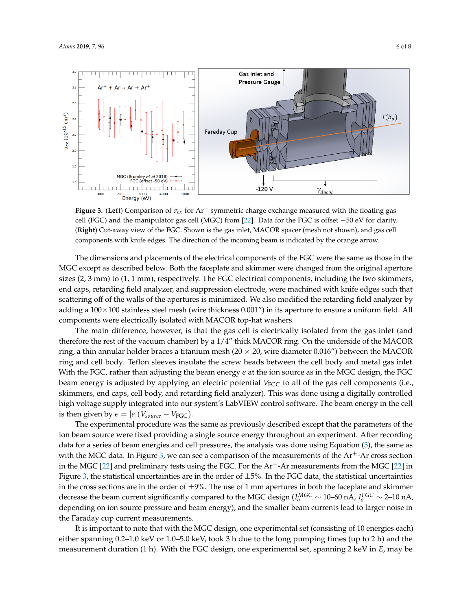$2.6$ 

ī.

1000

MGC (Bromley et al 2018)<br>FGC (offset -50 eV)

2000 3000<br>**Energy (eV)** 

mahanahan

4000

5000

 $\sigma_{\rm cx}$  (10<sup>-15</sup> cm<sup>2</sup>)

<span id="page-5-0"></span>

-120 V

 $\downarrow$ 

 $V_{dece}$ 

**Figure 3. (Left**) Comparison of  $\sigma_{cx}$  for Ar<sup>+</sup> symmetric charge exchange measured with the floating gas cell (FGC) and the manipulator gas cell (MGC) from [\[22\]](#page-7-13). Data for the FGC is offset −50 eV for clarity. (**Right**) Cut-away view of the FGC. Shown is the gas inlet, MACOR spacer (mesh not shown), and gas cell components with knife edges. The direction of the incoming beam is indicated by the orange arrow.

The dimensions and placements of the electrical components of the FGC were the same as those in the MGC except as described below. Both the faceplate and skimmer were changed from the original aperture sizes (2, 3 mm) to (1, 1 mm), respectively. The FGC electrical components, including the two skimmers, end caps, retarding field analyzer, and suppression electrode, were machined with knife edges such that scattering off of the walls of the apertures is minimized. We also modified the retarding field analyzer by adding a  $100\times100$  stainless steel mesh (wire thickness 0.001") in its aperture to ensure a uniform field. All components were electrically isolated with MACOR top-hat washers.

The main difference, however, is that the gas cell is electrically isolated from the gas inlet (and therefore the rest of the vacuum chamber) by a 1/4" thick MACOR ring. On the underside of the MACOR ring, a thin annular holder braces a titanium mesh ( $20 \times 20$ , wire diameter 0.016") between the MACOR ring and cell body. Teflon sleeves insulate the screw heads between the cell body and metal gas inlet. With the FGC, rather than adjusting the beam energy  $\epsilon$  at the ion source as in the MGC design, the FGC beam energy is adjusted by applying an electric potential *V*<sub>FGC</sub> to all of the gas cell components (i.e., skimmers, end caps, cell body, and retarding field analyzer). This was done using a digitally controlled high voltage supply integrated into our system's LabVIEW control software. The beam energy in the cell is then given by  $\epsilon = |e|(V_{source} - V_{FGC})$ .

The experimental procedure was the same as previously described except that the parameters of the ion beam source were fixed providing a single source energy throughout an experiment. After recording data for a series of beam energies and cell pressures, the analysis was done using Equation [\(3\)](#page-2-0), the same as with the MGC data. In Figure [3,](#page-5-0) we can see a comparison of the measurements of the  $Ar^+$ -Ar cross section in the MGC  $[22]$  and preliminary tests using the FGC. For the  $Ar<sup>+</sup>-Ar$  measurements from the MGC  $[22]$  in Figure [3,](#page-5-0) the statistical uncertainties are in the order of  $\pm$ 5%. In the FGC data, the statistical uncertainties in the cross sections are in the order of  $\pm$ 9%. The use of 1 mm apertures in both the faceplate and skimmer decrease the beam current significantly compared to the MGC design ( $I_o^{MGC} \sim 10$ –60 nA,  $I_o^{FGC} \sim$  2–10 nA, depending on ion source pressure and beam energy), and the smaller beam currents lead to larger noise in the Faraday cup current measurements.

It is important to note that with the MGC design, one experimental set (consisting of 10 energies each) either spanning 0.2–1.0 keV or 1.0–5.0 keV, took 3 h due to the long pumping times (up to 2 h) and the measurement duration (1 h). With the FGC design, one experimental set, spanning 2 keV in *E*, may be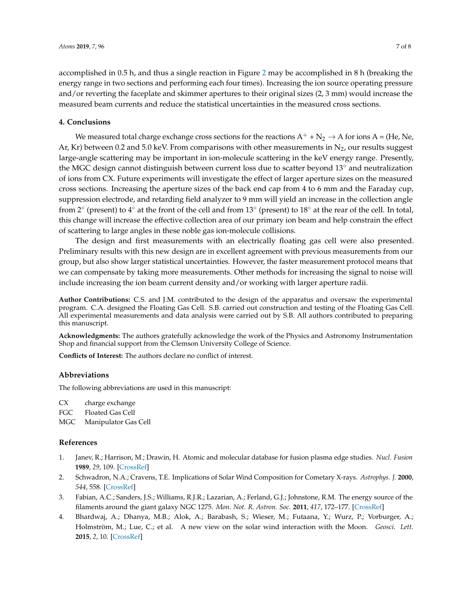accomplished in 0.5 h, and thus a single reaction in Figure [2](#page-3-0) may be accomplished in 8 h (breaking the energy range in two sections and performing each four times). Increasing the ion source operating pressure and/or reverting the faceplate and skimmer apertures to their original sizes (2, 3 mm) would increase the measured beam currents and reduce the statistical uncertainties in the measured cross sections.

# **4. Conclusions**

We measured total charge exchange cross sections for the reactions  $A^+$  + N<sub>2</sub>  $\rightarrow$  A for ions A = (He, Ne, Ar, Kr) between 0.2 and 5.0 keV. From comparisons with other measurements in  $N_2$ , our results suggest large-angle scattering may be important in ion-molecule scattering in the keV energy range. Presently, the MGC design cannot distinguish between current loss due to scatter beyond 13◦ and neutralization of ions from CX. Future experiments will investigate the effect of larger aperture sizes on the measured cross sections. Increasing the aperture sizes of the back end cap from 4 to 6 mm and the Faraday cup, suppression electrode, and retarding field analyzer to 9 mm will yield an increase in the collection angle from 2 $^{\circ}$  (present) to 4 $^{\circ}$  at the front of the cell and from 13 $^{\circ}$  (present) to 18 $^{\circ}$  at the rear of the cell. In total, this change will increase the effective collection area of our primary ion beam and help constrain the effect of scattering to large angles in these noble gas ion-molecule collisions.

The design and first measurements with an electrically floating gas cell were also presented. Preliminary results with this new design are in excellent agreement with previous measurements from our group, but also show larger statistical uncertainties. However, the faster measurement protocol means that we can compensate by taking more measurements. Other methods for increasing the signal to noise will include increasing the ion beam current density and/or working with larger aperture radii.

**Author Contributions:** C.S. and J.M. contributed to the design of the apparatus and oversaw the experimental program. C.A. designed the Floating Gas Cell. S.B. carried out construction and testing of the Floating Gas Cell. All experimental measurements and data analysis were carried out by S.B. All authors contributed to preparing this manuscript.

**Acknowledgments:** The authors gratefully acknowledge the work of the Physics and Astronomy Instrumentation Shop and financial support from the Clemson University College of Science.

**Conflicts of Interest:** The authors declare no conflict of interest.

#### **Abbreviations**

The following abbreviations are used in this manuscript:

CX charge exchange

FGC Floated Gas Cell

MGC Manipulator Gas Cell

#### **References**

- <span id="page-6-0"></span>1. Janev, R.; Harrison, M.; Drawin, H. Atomic and molecular database for fusion plasma edge studies. *Nucl. Fusion* **1989**, *29*, 109. [\[CrossRef\]](http://dx.doi.org/10.1088/0029-5515/29/1/015)
- <span id="page-6-1"></span>2. Schwadron, N.A.; Cravens, T.E. Implications of Solar Wind Composition for Cometary X-rays. *Astrophys. J.* **2000**, *544*, 558. [\[CrossRef\]](http://dx.doi.org/10.1086/317176)
- 3. Fabian, A.C.; Sanders, J.S.; Williams, R.J.R.; Lazarian, A.; Ferland, G.J.; Johnstone, R.M. The energy source of the filaments around the giant galaxy NGC 1275. *Mon. Not. R. Astron. Soc.* **2011**, *417*, 172–177. [\[CrossRef\]](http://dx.doi.org/10.1111/j.1365-2966.2011.19034.x)
- 4. Bhardwaj, A.; Dhanya, M.B.; Alok, A.; Barabash, S.; Wieser, M.; Futaana, Y.; Wurz, P.; Vorburger, A.; Holmström, M.; Lue, C.; et al. A new view on the solar wind interaction with the Moon. *Geosci. Lett.* **2015**, *2*, 10. [\[CrossRef\]](http://dx.doi.org/10.1186/s40562-015-0027-y)